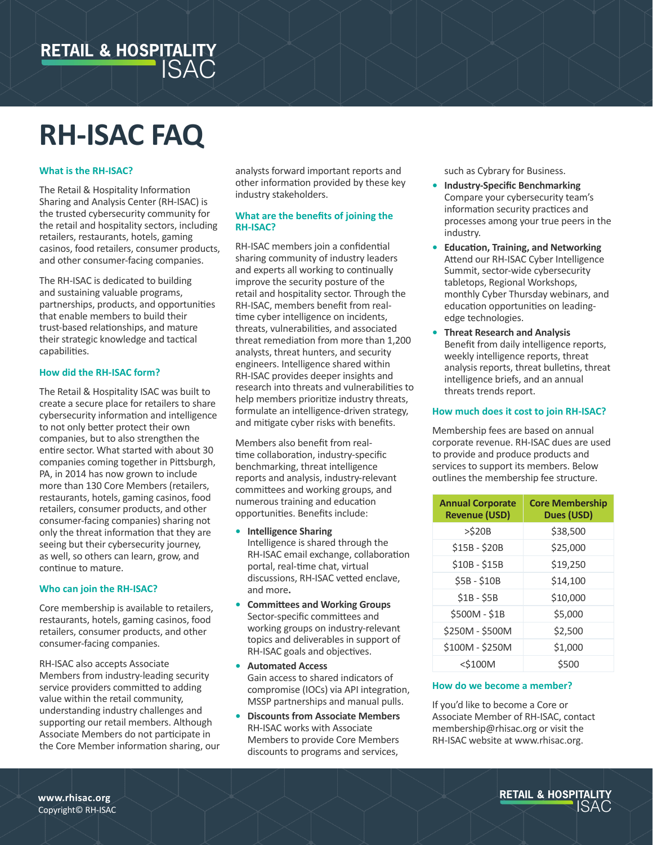

# **RH-ISAC FAQ**

# **What is the RH-ISAC?**

The Retail & Hospitality Information Sharing and Analysis Center (RH-ISAC) is the trusted cybersecurity community for the retail and hospitality sectors, including retailers, restaurants, hotels, gaming casinos, food retailers, consumer products, and other consumer-facing companies.

The RH-ISAC is dedicated to building and sustaining valuable programs, partnerships, products, and opportunities that enable members to build their trust-based relationships, and mature their strategic knowledge and tactical capabilities.

#### **How did the RH-ISAC form?**

The Retail & Hospitality ISAC was built to create a secure place for retailers to share cybersecurity information and intelligence to not only better protect their own companies, but to also strengthen the entire sector. What started with about 30 companies coming together in Pittsburgh, PA, in 2014 has now grown to include more than 130 Core Members (retailers, restaurants, hotels, gaming casinos, food retailers, consumer products, and other consumer-facing companies) sharing not only the threat information that they are seeing but their cybersecurity journey, as well, so others can learn, grow, and continue to mature.

#### **Who can join the RH-ISAC?**

Core membership is available to retailers, restaurants, hotels, gaming casinos, food retailers, consumer products, and other consumer-facing companies.

RH-ISAC also accepts Associate Members from industry-leading security service providers committed to adding value within the retail community, understanding industry challenges and supporting our retail members. Although Associate Members do not participate in the Core Member information sharing, our analysts forward important reports and other information provided by these key industry stakeholders.

## **What are the benefits of joining the RH-ISAC?**

RH-ISAC members join a confidential sharing community of industry leaders and experts all working to continually improve the security posture of the retail and hospitality sector. Through the RH-ISAC, members benefit from realtime cyber intelligence on incidents, threats, vulnerabilities, and associated threat remediation from more than 1,200 analysts, threat hunters, and security engineers. Intelligence shared within RH-ISAC provides deeper insights and research into threats and vulnerabilities to help members prioritize industry threats, formulate an intelligence-driven strategy, and mitigate cyber risks with benefits.

Members also benefit from realtime collaboration, industry-specific benchmarking, threat intelligence reports and analysis, industry-relevant committees and working groups, and numerous training and education opportunities. Benefits include:

- **• Intelligence Sharing** Intelligence is shared through the RH-ISAC email exchange, collaboration portal, real-time chat, virtual discussions, RH-ISAC vetted enclave, and more**.**
- **• Committees and Working Groups** Sector-specific committees and working groups on industry-relevant topics and deliverables in support of RH-ISAC goals and objectives.
- **• Automated Access** Gain access to shared indicators of compromise (IOCs) via API integration, MSSP partnerships and manual pulls.
- **• Discounts from Associate Members** RH-ISAC works with Associate Members to provide Core Members discounts to programs and services,

such as Cybrary for Business.

- **• Industry-Specific Benchmarking** Compare your cybersecurity team's information security practices and processes among your true peers in the industry.
- **• Education, Training, and Networking** Attend our RH-ISAC Cyber Intelligence Summit, sector-wide cybersecurity tabletops, Regional Workshops, monthly Cyber Thursday webinars, and education opportunities on leadingedge technologies.
- **• Threat Research and Analysis** Benefit from daily intelligence reports, weekly intelligence reports, threat analysis reports, threat bulletins, threat intelligence briefs, and an annual threats trends report.

# **How much does it cost to join RH-ISAC?**

Membership fees are based on annual corporate revenue. RH-ISAC dues are used to provide and produce products and services to support its members. Below outlines the membership fee structure.

| <b>Annual Corporate</b><br><b>Revenue (USD)</b> | <b>Core Membership</b><br>Dues (USD) |
|-------------------------------------------------|--------------------------------------|
| $>$ \$20B                                       | \$38,500                             |
| \$15B - \$20B                                   | \$25,000                             |
| $$10B - $15B$                                   | \$19,250                             |
| \$5B - \$10B                                    | \$14,100                             |
| $$1B - $5B$                                     | \$10,000                             |
| \$500M - \$1B                                   | \$5.000                              |
| \$250M - \$500M                                 | \$2,500                              |
| \$100M - \$250M                                 | \$1,000                              |
| <\$100M                                         | \$500                                |

#### **How do we become a member?**

If you'd like to become a Core or Associate Member of RH-ISAC, contact membership@rhisac.org or visit the RH-ISAC website at www.rhisac.org.

**RETAIL & HOSPITALITY** ISAC